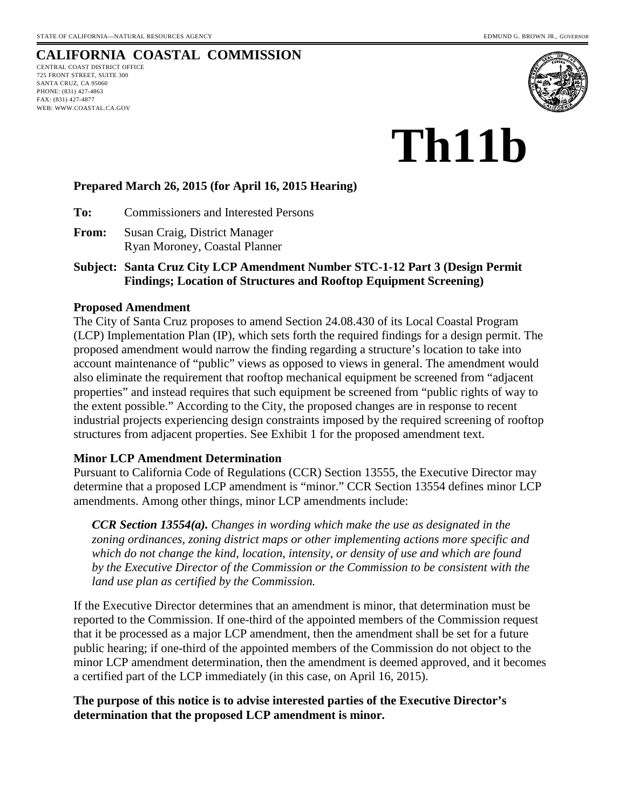## **CALIFORNIA COASTAL COMMISSION**

CENTRAL COAST DISTRICT OFFICE 725 FRONT STREET, SUITE 300 SANTA CRUZ, CA 95060 PHONE: (831) 427-4863 FAX: (831) 427-4877 WEB: WWW.COASTAL.CA.GOV



# **Th11b**

#### **Prepared March 26, 2015 (for April 16, 2015 Hearing)**

**To:** Commissioners and Interested Persons

- **From:** Susan Craig, District Manager Ryan Moroney, Coastal Planner
- **Subject: Santa Cruz City LCP Amendment Number STC-1-12 Part 3 (Design Permit Findings; Location of Structures and Rooftop Equipment Screening)**

#### **Proposed Amendment**

The City of Santa Cruz proposes to amend Section 24.08.430 of its Local Coastal Program (LCP) Implementation Plan (IP), which sets forth the required findings for a design permit. The proposed amendment would narrow the finding regarding a structure's location to take into account maintenance of "public" views as opposed to views in general. The amendment would also eliminate the requirement that rooftop mechanical equipment be screened from "adjacent properties" and instead requires that such equipment be screened from "public rights of way to the extent possible." According to the City, the proposed changes are in response to recent industrial projects experiencing design constraints imposed by the required screening of rooftop structures from adjacent properties. See Exhibit 1 for the proposed amendment text.

#### **Minor LCP Amendment Determination**

Pursuant to California Code of Regulations (CCR) Section 13555, the Executive Director may determine that a proposed LCP amendment is "minor." CCR Section 13554 defines minor LCP amendments. Among other things, minor LCP amendments include:

*CCR Section 13554(a). Changes in wording which make the use as designated in the zoning ordinances, zoning district maps or other implementing actions more specific and which do not change the kind, location, intensity, or density of use and which are found by the Executive Director of the Commission or the Commission to be consistent with the land use plan as certified by the Commission.* 

If the Executive Director determines that an amendment is minor, that determination must be reported to the Commission. If one-third of the appointed members of the Commission request that it be processed as a major LCP amendment, then the amendment shall be set for a future public hearing; if one-third of the appointed members of the Commission do not object to the minor LCP amendment determination, then the amendment is deemed approved, and it becomes a certified part of the LCP immediately (in this case, on April 16, 2015).

#### **The purpose of this notice is to advise interested parties of the Executive Director's determination that the proposed LCP amendment is minor.**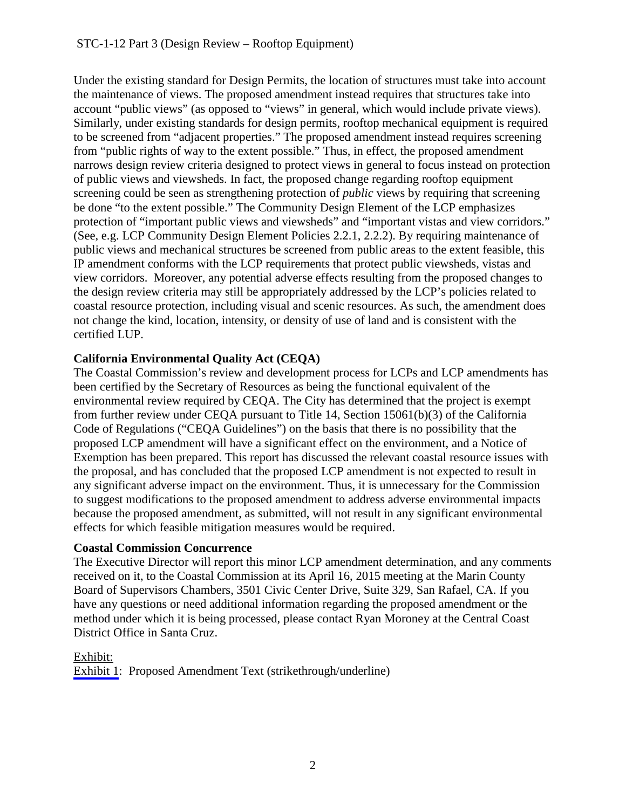Under the existing standard for Design Permits, the location of structures must take into account the maintenance of views. The proposed amendment instead requires that structures take into account "public views" (as opposed to "views" in general, which would include private views). Similarly, under existing standards for design permits, rooftop mechanical equipment is required to be screened from "adjacent properties." The proposed amendment instead requires screening from "public rights of way to the extent possible." Thus, in effect, the proposed amendment narrows design review criteria designed to protect views in general to focus instead on protection of public views and viewsheds. In fact, the proposed change regarding rooftop equipment screening could be seen as strengthening protection of *public* views by requiring that screening be done "to the extent possible." The Community Design Element of the LCP emphasizes protection of "important public views and viewsheds" and "important vistas and view corridors." (See, e.g. LCP Community Design Element Policies 2.2.1, 2.2.2). By requiring maintenance of public views and mechanical structures be screened from public areas to the extent feasible, this IP amendment conforms with the LCP requirements that protect public viewsheds, vistas and view corridors. Moreover, any potential adverse effects resulting from the proposed changes to the design review criteria may still be appropriately addressed by the LCP's policies related to coastal resource protection, including visual and scenic resources. As such, the amendment does not change the kind, location, intensity, or density of use of land and is consistent with the certified LUP.

## **California Environmental Quality Act (CEQA)**

The Coastal Commission's review and development process for LCPs and LCP amendments has been certified by the Secretary of Resources as being the functional equivalent of the environmental review required by CEQA. The City has determined that the project is exempt from further review under CEQA pursuant to Title 14, Section 15061(b)(3) of the California Code of Regulations ("CEQA Guidelines") on the basis that there is no possibility that the proposed LCP amendment will have a significant effect on the environment, and a Notice of Exemption has been prepared. This report has discussed the relevant coastal resource issues with the proposal, and has concluded that the proposed LCP amendment is not expected to result in any significant adverse impact on the environment. Thus, it is unnecessary for the Commission to suggest modifications to the proposed amendment to address adverse environmental impacts because the proposed amendment, as submitted, will not result in any significant environmental effects for which feasible mitigation measures would be required.

## **Coastal Commission Concurrence**

The Executive Director will report this minor LCP amendment determination, and any comments received on it, to the Coastal Commission at its April 16, 2015 meeting at the Marin County Board of Supervisors Chambers, 3501 Civic Center Drive, Suite 329, San Rafael, CA. If you have any questions or need additional information regarding the proposed amendment or the method under which it is being processed, please contact Ryan Moroney at the Central Coast District Office in Santa Cruz.

## Exhibit:

[Exhibit 1](#page-2-0): Proposed Amendment Text (strikethrough/underline)